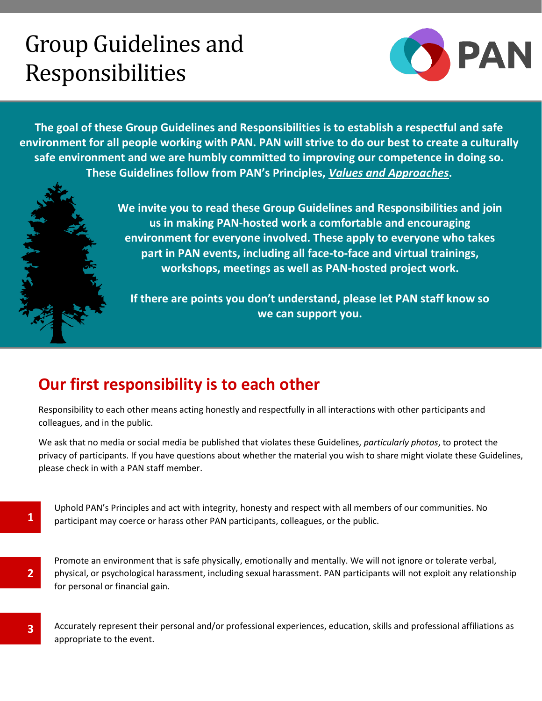# Group Guidelines and Responsibilities



**The goal of these Group Guidelines and Responsibilities is to establish a respectful and safe environment for all people working with PAN. PAN will strive to do our best to create a culturally safe environment and we are humbly committed to improving our competence in doing so. These Guidelines follow from PAN's Principles,** *[Values and Approaches](https://pacificaidsnetwork.org/about/strategic-directions-values-and-approaches/)***.**

> **We invite you to read these Group Guidelines and Responsibilities and join us in making PAN-hosted work a comfortable and encouraging environment for everyone involved. These apply to everyone who takes part in PAN events, including all face-to-face and virtual trainings, workshops, meetings as well as PAN-hosted project work.**

**If there are points you don't understand, please let PAN staff know so we can support you.**

## **Our first responsibility is to each other**

**1**

**2**

**3**

Responsibility to each other means acting honestly and respectfully in all interactions with other participants and colleagues, and in the public.

We ask that no media or social media be published that violates these Guidelines, *particularly photos*, to protect the privacy of participants. If you have questions about whether the material you wish to share might violate these Guidelines, please check in with a PAN staff member.

Uphold PAN's Principles and act with integrity, honesty and respect with all members of our communities. No participant may coerce or harass other PAN participants, colleagues, or the public.

Promote an environment that is safe physically, emotionally and mentally. We will not ignore or tolerate verbal, physical, or psychological harassment, including sexual harassment. PAN participants will not exploit any relationship for personal or financial gain.

Accurately represent their personal and/or professional experiences, education, skills and professional affiliations as appropriate to the event.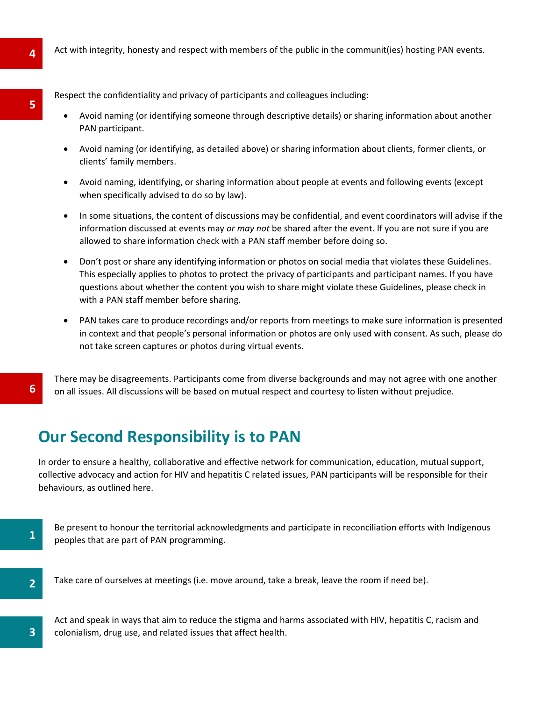Respect the confidentiality and privacy of participants and colleagues including:

- Avoid naming (or identifying someone through descriptive details) or sharing information about another PAN participant.
- Avoid naming (or identifying, as detailed above) or sharing information about clients, former clients, or clients' family members.
- Avoid naming, identifying, or sharing information about people at events and following events (except when specifically advised to do so by law).
- In some situations, the content of discussions may be confidential, and event coordinators will advise if the information discussed at events may *or may not* be shared after the event. If you are not sure if you are allowed to share information check with a PAN staff member before doing so.
- Don't post or share any identifying information or photos on social media that violates these Guidelines. This especially applies to photos to protect the privacy of participants and participant names. If you have questions about whether the content you wish to share might violate these Guidelines, please check in with a PAN staff member before sharing.
- PAN takes care to produce recordings and/or reports from meetings to make sure information is presented in context and that people's personal information or photos are only used with consent. As such, please do not take screen captures or photos during virtual events.

There may be disagreements. Participants come from diverse backgrounds and may not agree with one another on all issues. All discussions will be based on mutual respect and courtesy to listen without prejudice.

#### **Our Second Responsibility is to PAN**

In order to ensure a healthy, collaborative and effective network for communication, education, mutual support, collective advocacy and action for HIV and hepatitis C related issues, PAN participants will be responsible for their behaviours, as outlined here.

Be present to honour the territorial acknowledgments and participate in reconciliation efforts with Indigenous peoples that are part of PAN programming.

**3**

**1**

**6**

Take care of ourselves at meetings (i.e. move around, take a break, leave the room if need be).

Act and speak in ways that aim to reduce the stigma and harms associated with HIV, hepatitis C, racism and colonialism, drug use, and related issues that affect health.

**5**